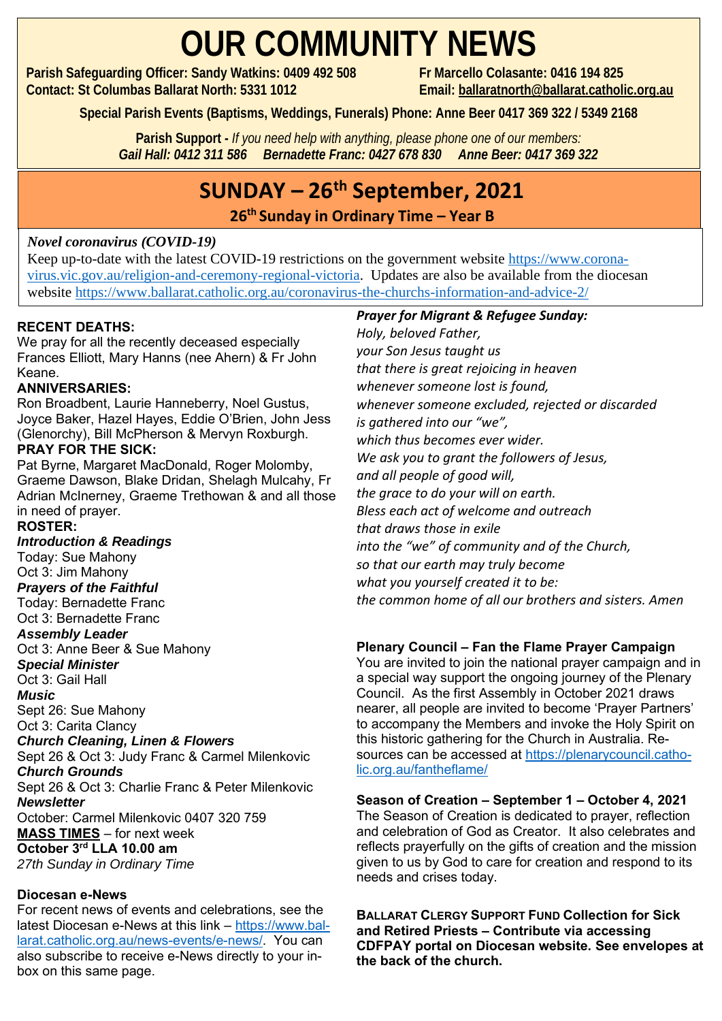## **OUR COMMUNITY NEWS**

**Parish Safeguarding Officer: Sandy Watkins: 0409 492 508 Fr Marcello Colasante: 0416 194 825 Contact: St Columbas Ballarat North: 5331 1012 Email: [ballaratnorth@ballarat.catholic.org.au](mailto:ballaratnorth@ballarat.catholic.org.au)**

**Special Parish Events (Baptisms, Weddings, Funerals) Phone: Anne Beer 0417 369 322 / 5349 2168**

**Parish Support -** *If you need help with anything, please phone one of our members: Gail Hall: 0412 311 586 Bernadette Franc: 0427 678 830 Anne Beer: 0417 369 322*

### **SUNDAY – 26th September, 2021**

**26 th Sunday in Ordinary Time – Year B** 

#### *Novel coronavirus (COVID-19)*

website <https://www.ballarat.catholic.org.au/coronavirus-the-churchs-information-and-advice-2/> Keep up-to-date with the latest COVID-19 restrictions on the government website [https://www.corona](https://www.coronavirus.vic.gov.au/religion-and-ceremony-regional-victoria)[virus.vic.gov.au/religion-and-ceremony-regional-victoria.](https://www.coronavirus.vic.gov.au/religion-and-ceremony-regional-victoria) Updates are also be available from the diocesan

#### **RECENT DEATHS:**

We pray for all the recently deceased especially Frances Elliott, Mary Hanns (nee Ahern) & Fr John Keane.

#### **ANNIVERSARIES:**

Ron Broadbent, Laurie Hanneberry, Noel Gustus, Joyce Baker, Hazel Hayes, Eddie O'Brien, John Jess (Glenorchy), Bill McPherson & Mervyn Roxburgh.

#### **PRAY FOR THE SICK:**

Pat Byrne, Margaret MacDonald, Roger Molomby, Graeme Dawson, Blake Dridan, Shelagh Mulcahy, Fr Adrian McInerney, Graeme Trethowan & and all those in need of prayer.

#### **ROSTER:**

*Introduction & Readings* 

Today: Sue Mahony Oct 3: Jim Mahony

*Prayers of the Faithful* 

Today: Bernadette Franc Oct 3: Bernadette Franc

#### *Assembly Leader*

Oct 3: Anne Beer & Sue Mahony *Special Minister*

Oct 3: Gail Hall *Music*

Sept 26: Sue Mahony Oct 3: Carita Clancy

#### *Church Cleaning, Linen & Flowers*

Sept 26 & Oct 3: Judy Franc & Carmel Milenkovic *Church Grounds*

Sept 26 & Oct 3: Charlie Franc & Peter Milenkovic *Newsletter* October: Carmel Milenkovic 0407 320 759

**MASS TIMES** – for next week

#### **October 3rd LLA 10.00 am**

*27th Sunday in Ordinary Time*

#### **Diocesan e-News**

For recent news of events and celebrations, see the latest Diocesan e-News at this link – [https://www.bal](https://www.ballarat.catholic.org.au/news-events/e-news/)[larat.catholic.org.au/news-events/e-news/.](https://www.ballarat.catholic.org.au/news-events/e-news/) You can also subscribe to receive e-News directly to your inbox on this same page.

#### *Prayer for Migrant & Refugee Sunday:*

*Holy, beloved Father, your Son Jesus taught us that there is great rejoicing in heaven whenever someone lost is found, whenever someone excluded, rejected or discarded is gathered into our "we", which thus becomes ever wider. We ask you to grant the followers of Jesus, and all people of good will, the grace to do your will on earth. Bless each act of welcome and outreach that draws those in exile into the "we" of community and of the Church, so that our earth may truly become what you yourself created it to be: the common home of all our brothers and sisters. Amen*

#### **Plenary Council – Fan the Flame Prayer Campaign**

You are invited to join the national prayer campaign and in a special way support the ongoing journey of the Plenary Council. As the first Assembly in October 2021 draws nearer, all people are invited to become 'Prayer Partners' to accompany the Members and invoke the Holy Spirit on this historic gathering for the Church in Australia. Resources can be accessed at [https://plenarycouncil.catho](https://plenarycouncil.catholic.org.au/fantheflame/)[lic.org.au/fantheflame/](https://plenarycouncil.catholic.org.au/fantheflame/)

#### **Season of Creation – September 1 – October 4, 2021**

The Season of Creation is dedicated to prayer, reflection and celebration of God as Creator. It also celebrates and reflects prayerfully on the gifts of creation and the mission given to us by God to care for creation and respond to its needs and crises today.

**BALLARAT CLERGY SUPPORT FUND Collection for Sick and Retired Priests – Contribute via accessing CDFPAY portal on Diocesan website. See envelopes at the back of the church.**